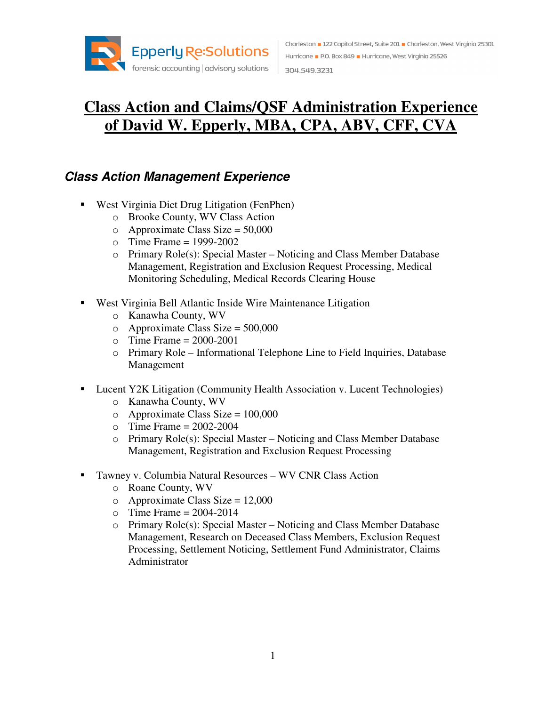

## **Class Action and Claims/QSF Administration Experience of David W. Epperly, MBA, CPA, ABV, CFF, CVA**

## **Class Action Management Experience**

- West Virginia Diet Drug Litigation (FenPhen)
	- o Brooke County, WV Class Action
	- $\circ$  Approximate Class Size = 50,000
	- $\circ$  Time Frame = 1999-2002
	- o Primary Role(s): Special Master Noticing and Class Member Database Management, Registration and Exclusion Request Processing, Medical Monitoring Scheduling, Medical Records Clearing House
- West Virginia Bell Atlantic Inside Wire Maintenance Litigation
	- o Kanawha County, WV
	- $\circ$  Approximate Class Size = 500,000
	- $\circ$  Time Frame = 2000-2001
	- o Primary Role Informational Telephone Line to Field Inquiries, Database Management
- Lucent Y2K Litigation (Community Health Association v. Lucent Technologies)
	- o Kanawha County, WV
	- $\degree$  Approximate Class Size = 100,000
	- $\circ$  Time Frame = 2002-2004
	- o Primary Role(s): Special Master Noticing and Class Member Database Management, Registration and Exclusion Request Processing
- Tawney v. Columbia Natural Resources WV CNR Class Action
	- o Roane County, WV
	- $\circ$  Approximate Class Size = 12,000
	- $\circ$  Time Frame = 2004-2014
	- o Primary Role(s): Special Master Noticing and Class Member Database Management, Research on Deceased Class Members, Exclusion Request Processing, Settlement Noticing, Settlement Fund Administrator, Claims Administrator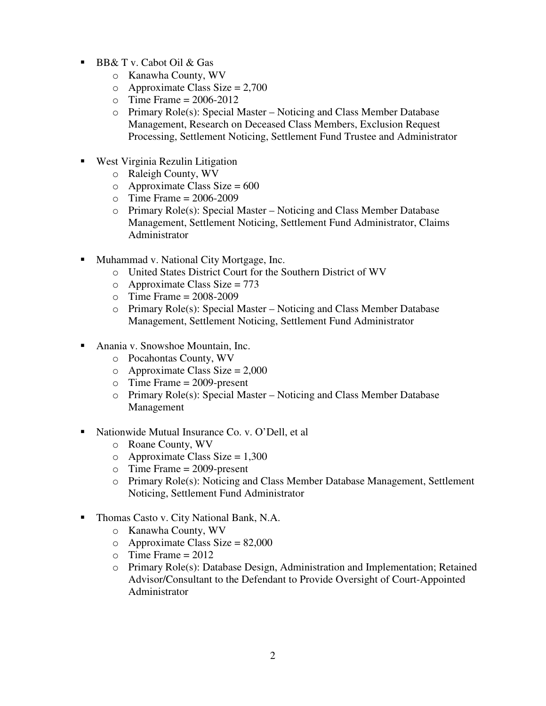- BB& T v. Cabot Oil & Gas
	- o Kanawha County, WV
	- $\circ$  Approximate Class Size = 2,700
	- $\textcirc$  Time Frame = 2006-2012
	- o Primary Role(s): Special Master Noticing and Class Member Database Management, Research on Deceased Class Members, Exclusion Request Processing, Settlement Noticing, Settlement Fund Trustee and Administrator
- West Virginia Rezulin Litigation
	- o Raleigh County, WV
	- $\circ$  Approximate Class Size = 600
	- $\circ$  Time Frame = 2006-2009
	- o Primary Role(s): Special Master Noticing and Class Member Database Management, Settlement Noticing, Settlement Fund Administrator, Claims Administrator
- **Muhammad v. National City Mortgage, Inc.** 
	- o United States District Court for the Southern District of WV
	- $o$  Approximate Class Size = 773
	- $\circ$  Time Frame = 2008-2009
	- o Primary Role(s): Special Master Noticing and Class Member Database Management, Settlement Noticing, Settlement Fund Administrator
- Anania v. Snowshoe Mountain, Inc.
	- o Pocahontas County, WV
	- $\circ$  Approximate Class Size = 2,000
	- $\circ$  Time Frame = 2009-present
	- o Primary Role(s): Special Master Noticing and Class Member Database Management
- Nationwide Mutual Insurance Co. v. O'Dell, et al
	- o Roane County, WV
	- $\circ$  Approximate Class Size = 1,300
	- o Time Frame = 2009-present
	- o Primary Role(s): Noticing and Class Member Database Management, Settlement Noticing, Settlement Fund Administrator
- Thomas Casto v. City National Bank, N.A.
	- o Kanawha County, WV
	- $\degree$  Approximate Class Size = 82,000
	- $\circ$  Time Frame = 2012
	- o Primary Role(s): Database Design, Administration and Implementation; Retained Advisor/Consultant to the Defendant to Provide Oversight of Court-Appointed Administrator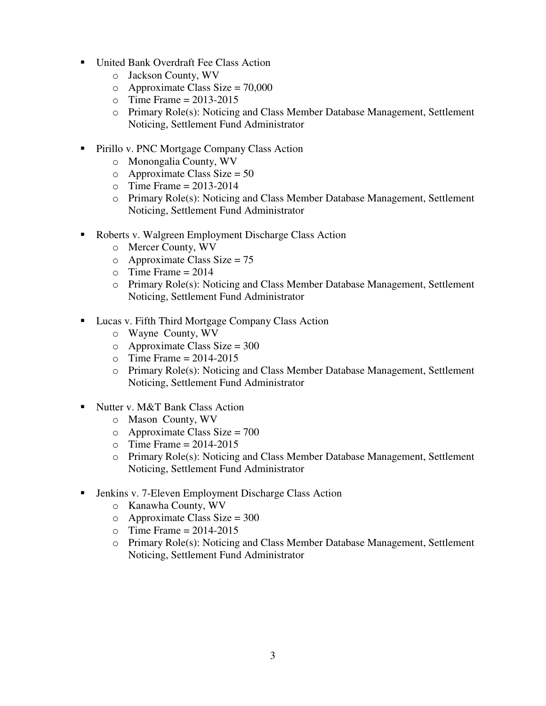- United Bank Overdraft Fee Class Action
	- o Jackson County, WV
	- $\circ$  Approximate Class Size = 70,000
	- $\circ$  Time Frame = 2013-2015
	- o Primary Role(s): Noticing and Class Member Database Management, Settlement Noticing, Settlement Fund Administrator
- **Pirillo v. PNC Mortgage Company Class Action** 
	- o Monongalia County, WV
	- $\circ$  Approximate Class Size = 50
	- $\circ$  Time Frame = 2013-2014
	- o Primary Role(s): Noticing and Class Member Database Management, Settlement Noticing, Settlement Fund Administrator
- Roberts v. Walgreen Employment Discharge Class Action
	- o Mercer County, WV
	- $o$  Approximate Class Size = 75
	- $\circ$  Time Frame = 2014
	- o Primary Role(s): Noticing and Class Member Database Management, Settlement Noticing, Settlement Fund Administrator
- Lucas v. Fifth Third Mortgage Company Class Action
	- o Wayne County, WV
	- $\circ$  Approximate Class Size = 300
	- $\circ$  Time Frame = 2014-2015
	- o Primary Role(s): Noticing and Class Member Database Management, Settlement Noticing, Settlement Fund Administrator
- Nutter v. M&T Bank Class Action
	- o Mason County, WV
	- $\circ$  Approximate Class Size = 700
	- $\circ$  Time Frame = 2014-2015
	- o Primary Role(s): Noticing and Class Member Database Management, Settlement Noticing, Settlement Fund Administrator
- Jenkins v. 7-Eleven Employment Discharge Class Action
	- o Kanawha County, WV
	- $\circ$  Approximate Class Size = 300
	- $\textcirc$  Time Frame = 2014-2015
	- o Primary Role(s): Noticing and Class Member Database Management, Settlement Noticing, Settlement Fund Administrator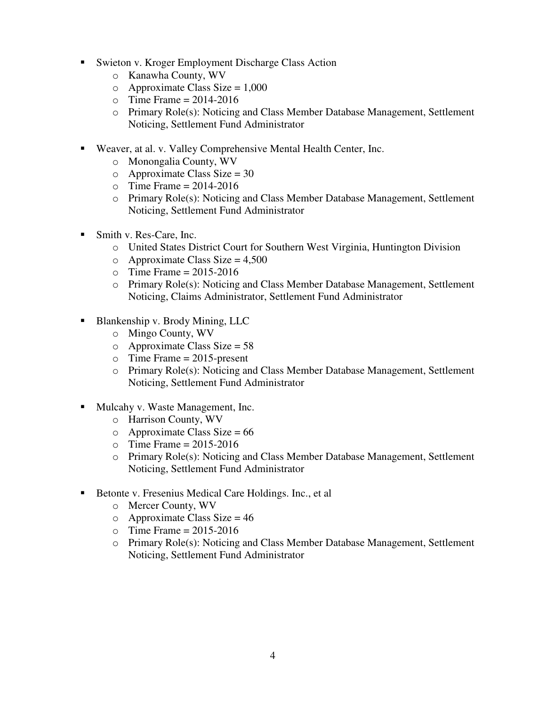- Swieton v. Kroger Employment Discharge Class Action
	- o Kanawha County, WV
	- $\circ$  Approximate Class Size = 1,000
	- $\circ$  Time Frame = 2014-2016
	- o Primary Role(s): Noticing and Class Member Database Management, Settlement Noticing, Settlement Fund Administrator
- Weaver, at al. v. Valley Comprehensive Mental Health Center, Inc.
	- o Monongalia County, WV
	- $\circ$  Approximate Class Size = 30
	- $\circ$  Time Frame = 2014-2016
	- o Primary Role(s): Noticing and Class Member Database Management, Settlement Noticing, Settlement Fund Administrator
- Smith v. Res-Care, Inc.
	- o United States District Court for Southern West Virginia, Huntington Division
	- $\circ$  Approximate Class Size = 4,500
	- $\circ$  Time Frame = 2015-2016
	- o Primary Role(s): Noticing and Class Member Database Management, Settlement Noticing, Claims Administrator, Settlement Fund Administrator
- Blankenship v. Brody Mining, LLC
	- o Mingo County, WV
	- $\circ$  Approximate Class Size = 58
	- $\circ$  Time Frame = 2015-present
	- o Primary Role(s): Noticing and Class Member Database Management, Settlement Noticing, Settlement Fund Administrator
- Mulcahy v. Waste Management, Inc.
	- o Harrison County, WV
	- $\circ$  Approximate Class Size = 66
	- $\circ$  Time Frame = 2015-2016
	- o Primary Role(s): Noticing and Class Member Database Management, Settlement Noticing, Settlement Fund Administrator
- Betonte v. Fresenius Medical Care Holdings. Inc., et al
	- o Mercer County, WV
	- $\circ$  Approximate Class Size = 46
	- $\textcirc$  Time Frame = 2015-2016
	- $\circ$  Primary Role(s): Noticing and Class Member Database Management, Settlement Noticing, Settlement Fund Administrator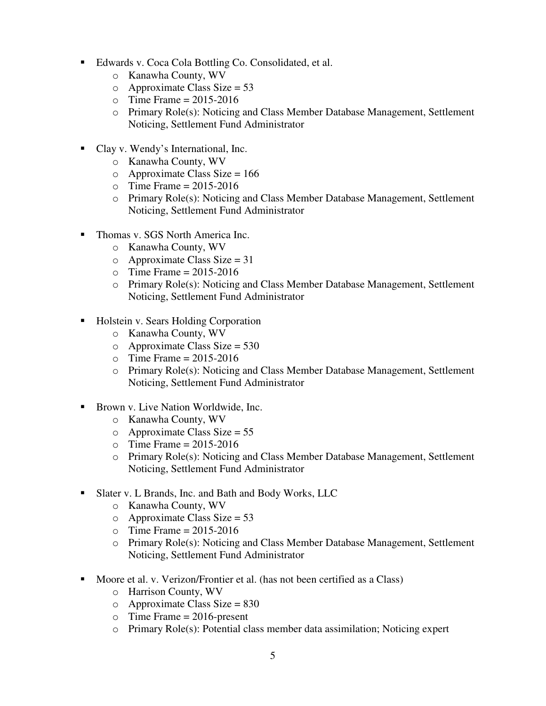- Edwards v. Coca Cola Bottling Co. Consolidated, et al.
	- o Kanawha County, WV
	- $\circ$  Approximate Class Size = 53
	- $\circ$  Time Frame = 2015-2016
	- o Primary Role(s): Noticing and Class Member Database Management, Settlement Noticing, Settlement Fund Administrator
- Clay v. Wendy's International, Inc.
	- o Kanawha County, WV
	- $\circ$  Approximate Class Size = 166
	- $\textcirc$  Time Frame = 2015-2016
	- o Primary Role(s): Noticing and Class Member Database Management, Settlement Noticing, Settlement Fund Administrator
- Thomas v. SGS North America Inc.
	- o Kanawha County, WV
	- $o$  Approximate Class Size = 31
	- $\circ$  Time Frame = 2015-2016
	- o Primary Role(s): Noticing and Class Member Database Management, Settlement Noticing, Settlement Fund Administrator
- Holstein v. Sears Holding Corporation
	- o Kanawha County, WV
	- $\circ$  Approximate Class Size = 530
	- $\circ$  Time Frame = 2015-2016
	- o Primary Role(s): Noticing and Class Member Database Management, Settlement Noticing, Settlement Fund Administrator
- Brown v. Live Nation Worldwide, Inc.
	- o Kanawha County, WV
	- $\circ$  Approximate Class Size = 55
	- $\circ$  Time Frame = 2015-2016
	- o Primary Role(s): Noticing and Class Member Database Management, Settlement Noticing, Settlement Fund Administrator
- Slater v. L Brands, Inc. and Bath and Body Works, LLC
	- o Kanawha County, WV
	- $\circ$  Approximate Class Size = 53
	- $\text{o}$  Time Frame = 2015-2016
	- o Primary Role(s): Noticing and Class Member Database Management, Settlement Noticing, Settlement Fund Administrator
- **Moore et al. v. Verizon/Frontier et al. (has not been certified as a Class)** 
	- o Harrison County, WV
	- $\circ$  Approximate Class Size = 830
	- $\circ$  Time Frame = 2016-present
	- o Primary Role(s): Potential class member data assimilation; Noticing expert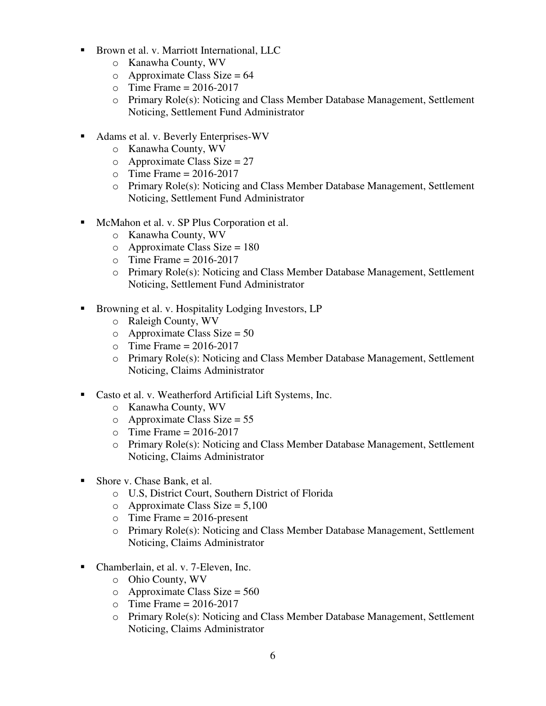- Brown et al. v. Marriott International, LLC
	- o Kanawha County, WV
	- $\circ$  Approximate Class Size = 64
	- $\circ$  Time Frame = 2016-2017
	- $\circ$  Primary Role(s): Noticing and Class Member Database Management, Settlement Noticing, Settlement Fund Administrator
- Adams et al. v. Beverly Enterprises-WV
	- o Kanawha County, WV
	- $o$  Approximate Class Size = 27
	- $\circ$  Time Frame = 2016-2017
	- o Primary Role(s): Noticing and Class Member Database Management, Settlement Noticing, Settlement Fund Administrator
- McMahon et al. v. SP Plus Corporation et al.
	- o Kanawha County, WV
	- $\circ$  Approximate Class Size = 180
	- $\circ$  Time Frame = 2016-2017
	- o Primary Role(s): Noticing and Class Member Database Management, Settlement Noticing, Settlement Fund Administrator
- Browning et al. v. Hospitality Lodging Investors, LP
	- o Raleigh County, WV
	- $\circ$  Approximate Class Size = 50
	- $\circ$  Time Frame = 2016-2017
	- o Primary Role(s): Noticing and Class Member Database Management, Settlement Noticing, Claims Administrator
- Casto et al. v. Weatherford Artificial Lift Systems, Inc.
	- o Kanawha County, WV
	- $\circ$  Approximate Class Size = 55
	- $\textcirc$  Time Frame = 2016-2017
	- o Primary Role(s): Noticing and Class Member Database Management, Settlement Noticing, Claims Administrator
- Shore v. Chase Bank, et al.
	- o U.S, District Court, Southern District of Florida
	- o Approximate Class Size =  $5,100$
	- $\circ$  Time Frame = 2016-present
	- o Primary Role(s): Noticing and Class Member Database Management, Settlement Noticing, Claims Administrator
- Chamberlain, et al. v. 7-Eleven, Inc.
	- o Ohio County, WV
	- $\circ$  Approximate Class Size = 560
	- $\circ$  Time Frame = 2016-2017
	- o Primary Role(s): Noticing and Class Member Database Management, Settlement Noticing, Claims Administrator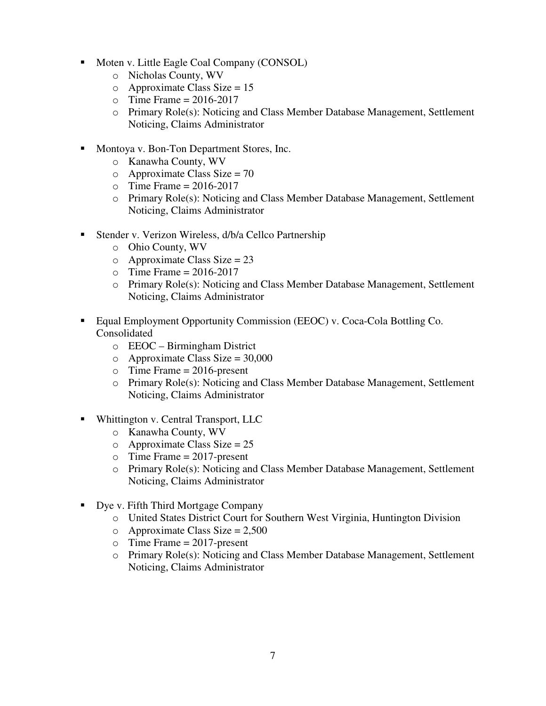- Moten v. Little Eagle Coal Company (CONSOL)
	- o Nicholas County, WV
	- $o$  Approximate Class Size = 15
	- $\circ$  Time Frame = 2016-2017
	- o Primary Role(s): Noticing and Class Member Database Management, Settlement Noticing, Claims Administrator
- **Montoya v. Bon-Ton Department Stores, Inc.** 
	- o Kanawha County, WV
	- $\circ$  Approximate Class Size = 70
	- $\circ$  Time Frame = 2016-2017
	- o Primary Role(s): Noticing and Class Member Database Management, Settlement Noticing, Claims Administrator
- Stender v. Verizon Wireless, d/b/a Cellco Partnership
	- o Ohio County, WV
	- $\circ$  Approximate Class Size = 23
	- $\circ$  Time Frame = 2016-2017
	- o Primary Role(s): Noticing and Class Member Database Management, Settlement Noticing, Claims Administrator
- Equal Employment Opportunity Commission (EEOC) v. Coca-Cola Bottling Co. Consolidated
	- o EEOC Birmingham District
	- $\circ$  Approximate Class Size = 30,000
	- $\circ$  Time Frame = 2016-present
	- o Primary Role(s): Noticing and Class Member Database Management, Settlement Noticing, Claims Administrator
- **Whittington v. Central Transport, LLC** 
	- o Kanawha County, WV
	- $o$  Approximate Class Size = 25
	- $\circ$  Time Frame = 2017-present
	- o Primary Role(s): Noticing and Class Member Database Management, Settlement Noticing, Claims Administrator
- Dye v. Fifth Third Mortgage Company
	- o United States District Court for Southern West Virginia, Huntington Division
	- $\circ$  Approximate Class Size = 2,500
	- $\circ$  Time Frame = 2017-present
	- o Primary Role(s): Noticing and Class Member Database Management, Settlement Noticing, Claims Administrator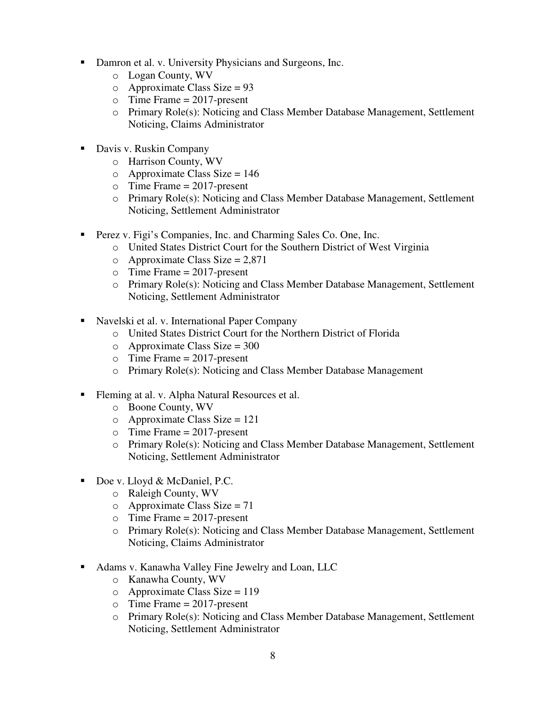- Damron et al. v. University Physicians and Surgeons, Inc.
	- o Logan County, WV
	- $\circ$  Approximate Class Size = 93
	- $\circ$  Time Frame = 2017-present
	- o Primary Role(s): Noticing and Class Member Database Management, Settlement Noticing, Claims Administrator
- Davis v. Ruskin Company
	- o Harrison County, WV
	- $\circ$  Approximate Class Size = 146
	- $\circ$  Time Frame = 2017-present
	- o Primary Role(s): Noticing and Class Member Database Management, Settlement Noticing, Settlement Administrator
- **Perez v. Figi's Companies, Inc. and Charming Sales Co. One, Inc.** 
	- o United States District Court for the Southern District of West Virginia
	- $\circ$  Approximate Class Size = 2,871
	- $\circ$  Time Frame = 2017-present
	- o Primary Role(s): Noticing and Class Member Database Management, Settlement Noticing, Settlement Administrator
- Navelski et al. v. International Paper Company
	- o United States District Court for the Northern District of Florida
	- $\circ$  Approximate Class Size = 300
	- $\circ$  Time Frame = 2017-present
	- o Primary Role(s): Noticing and Class Member Database Management
- Fleming at al. v. Alpha Natural Resources et al.
	- o Boone County, WV
	- $\circ$  Approximate Class Size = 121
	- $\circ$  Time Frame = 2017-present
	- o Primary Role(s): Noticing and Class Member Database Management, Settlement Noticing, Settlement Administrator
- Doe v. Lloyd & McDaniel, P.C.
	- o Raleigh County, WV
	- $o$  Approximate Class Size = 71
	- $\circ$  Time Frame = 2017-present
	- o Primary Role(s): Noticing and Class Member Database Management, Settlement Noticing, Claims Administrator
- Adams v. Kanawha Valley Fine Jewelry and Loan, LLC
	- o Kanawha County, WV
	- $\circ$  Approximate Class Size = 119
	- $\circ$  Time Frame = 2017-present
	- o Primary Role(s): Noticing and Class Member Database Management, Settlement Noticing, Settlement Administrator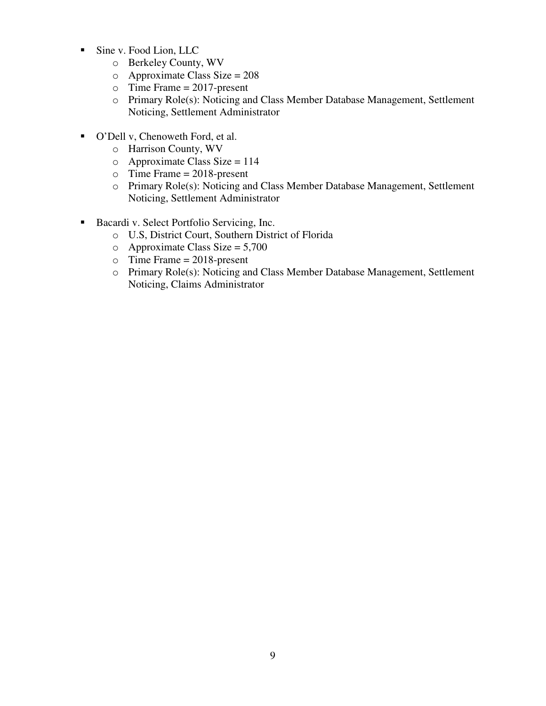- Sine v. Food Lion, LLC
	- o Berkeley County, WV
	- o Approximate Class Size = 208
	- $\circ$  Time Frame = 2017-present
	- o Primary Role(s): Noticing and Class Member Database Management, Settlement Noticing, Settlement Administrator
- O'Dell v, Chenoweth Ford, et al.
	- o Harrison County, WV
	- $\circ$  Approximate Class Size = 114
	- $\circ$  Time Frame = 2018-present
	- o Primary Role(s): Noticing and Class Member Database Management, Settlement Noticing, Settlement Administrator
- Bacardi v. Select Portfolio Servicing, Inc.
	- o U.S, District Court, Southern District of Florida
	- $\circ$  Approximate Class Size = 5,700
	- $\circ$  Time Frame = 2018-present
	- o Primary Role(s): Noticing and Class Member Database Management, Settlement Noticing, Claims Administrator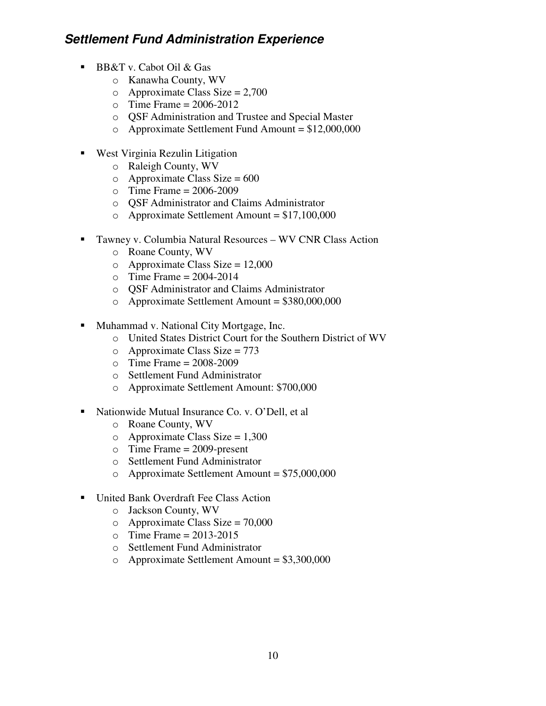## **Settlement Fund Administration Experience**

- BB&T v. Cabot Oil & Gas
	- o Kanawha County, WV
	- $\circ$  Approximate Class Size = 2,700
	- $\circ$  Time Frame = 2006-2012
	- o QSF Administration and Trustee and Special Master
	- $\circ$  Approximate Settlement Fund Amount = \$12,000,000
- West Virginia Rezulin Litigation
	- o Raleigh County, WV
	- $\circ$  Approximate Class Size = 600
	- $\circ$  Time Frame = 2006-2009
	- o QSF Administrator and Claims Administrator
	- o Approximate Settlement Amount = \$17,100,000
- Tawney v. Columbia Natural Resources WV CNR Class Action
	- o Roane County, WV
	- o Approximate Class Size =  $12,000$
	- $\circ$  Time Frame = 2004-2014
	- o QSF Administrator and Claims Administrator
	- o Approximate Settlement Amount = \$380,000,000
- Muhammad v. National City Mortgage, Inc.
	- o United States District Court for the Southern District of WV
	- $\circ$  Approximate Class Size = 773
	- $\circ$  Time Frame = 2008-2009
	- o Settlement Fund Administrator
	- o Approximate Settlement Amount: \$700,000
- Nationwide Mutual Insurance Co. v. O'Dell, et al
	- o Roane County, WV
	- $\circ$  Approximate Class Size = 1,300
	- o Time Frame = 2009-present
	- o Settlement Fund Administrator
	- o Approximate Settlement Amount = \$75,000,000
- United Bank Overdraft Fee Class Action
	- o Jackson County, WV
	- $\degree$  Approximate Class Size = 70,000
	- $\circ$  Time Frame = 2013-2015
	- o Settlement Fund Administrator
	- o Approximate Settlement Amount = \$3,300,000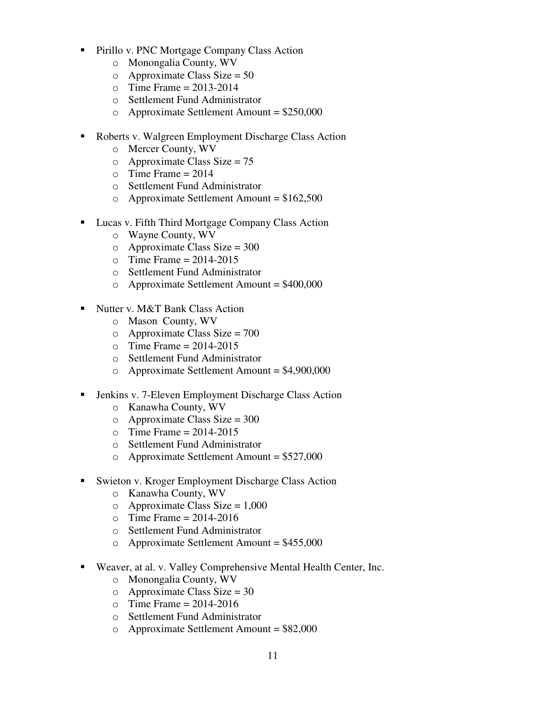- **Pirillo v. PNC Mortgage Company Class Action** 
	- o Monongalia County, WV
	- $\circ$  Approximate Class Size = 50
	- $\circ$  Time Frame = 2013-2014
	- o Settlement Fund Administrator
	- $\circ$  Approximate Settlement Amount = \$250,000
- Roberts v. Walgreen Employment Discharge Class Action
	- o Mercer County, WV
	- $o$  Approximate Class Size = 75
	- $\circ$  Time Frame = 2014
	- o Settlement Fund Administrator
	- $\circ$  Approximate Settlement Amount = \$162,500
- **Lucas v. Fifth Third Mortgage Company Class Action** 
	- o Wayne County, WV
	- $\circ$  Approximate Class Size = 300
	- $\circ$  Time Frame = 2014-2015
	- o Settlement Fund Administrator
	- o Approximate Settlement Amount = \$400,000
- Nutter v. M&T Bank Class Action
	- o Mason County, WV
	- $\circ$  Approximate Class Size = 700
	- $\circ$  Time Frame = 2014-2015
	- o Settlement Fund Administrator
	- o Approximate Settlement Amount = \$4,900,000
- Jenkins v. 7-Eleven Employment Discharge Class Action
	- o Kanawha County, WV
	- $\circ$  Approximate Class Size = 300
	- $\circ$  Time Frame = 2014-2015
	- o Settlement Fund Administrator
	- $\circ$  Approximate Settlement Amount = \$527,000
- Swieton v. Kroger Employment Discharge Class Action
	- o Kanawha County, WV
	- $\circ$  Approximate Class Size = 1,000
	- $\circ$  Time Frame = 2014-2016
	- o Settlement Fund Administrator
	- o Approximate Settlement Amount = \$455,000
- Weaver, at al. v. Valley Comprehensive Mental Health Center, Inc.
	- o Monongalia County, WV
	- $\circ$  Approximate Class Size = 30
	- $\circ$  Time Frame = 2014-2016
	- o Settlement Fund Administrator
	- $\circ$  Approximate Settlement Amount = \$82,000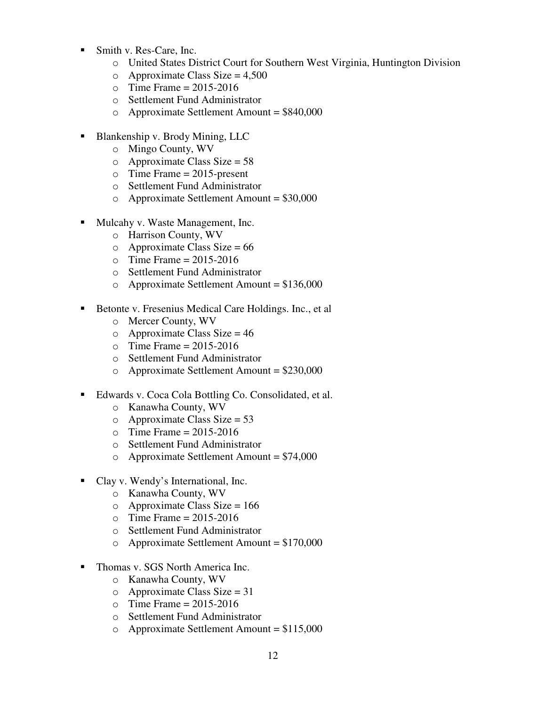- Smith v. Res-Care, Inc.
	- o United States District Court for Southern West Virginia, Huntington Division
	- $\circ$  Approximate Class Size = 4,500
	- $\circ$  Time Frame = 2015-2016
	- o Settlement Fund Administrator
	- $\circ$  Approximate Settlement Amount = \$840,000
- Blankenship v. Brody Mining, LLC
	- o Mingo County, WV
	- $\circ$  Approximate Class Size = 58
	- $\circ$  Time Frame = 2015-present
	- o Settlement Fund Administrator
	- $\circ$  Approximate Settlement Amount = \$30,000
- **Mulcahy v. Waste Management, Inc.** 
	- o Harrison County, WV
	- $\circ$  Approximate Class Size = 66
	- $\circ$  Time Frame = 2015-2016
	- o Settlement Fund Administrator
	- $\circ$  Approximate Settlement Amount = \$136,000
- Betonte v. Fresenius Medical Care Holdings. Inc., et al.
	- o Mercer County, WV
	- $\circ$  Approximate Class Size = 46
	- $\textdegree$  Time Frame = 2015-2016
	- o Settlement Fund Administrator
	- o Approximate Settlement Amount = \$230,000
- Edwards v. Coca Cola Bottling Co. Consolidated, et al.
	- o Kanawha County, WV
	- $\circ$  Approximate Class Size = 53
	- $\textcirc$  Time Frame = 2015-2016
	- o Settlement Fund Administrator
	- $\circ$  Approximate Settlement Amount = \$74,000
- Clay v. Wendy's International, Inc.
	- o Kanawha County, WV
	- $\circ$  Approximate Class Size = 166
	- $\circ$  Time Frame = 2015-2016
	- o Settlement Fund Administrator
	- o Approximate Settlement Amount = \$170,000
- Thomas v. SGS North America Inc.
	- o Kanawha County, WV
	- $\circ$  Approximate Class Size = 31
	- $\circ$  Time Frame = 2015-2016
	- o Settlement Fund Administrator
	- $\circ$  Approximate Settlement Amount = \$115,000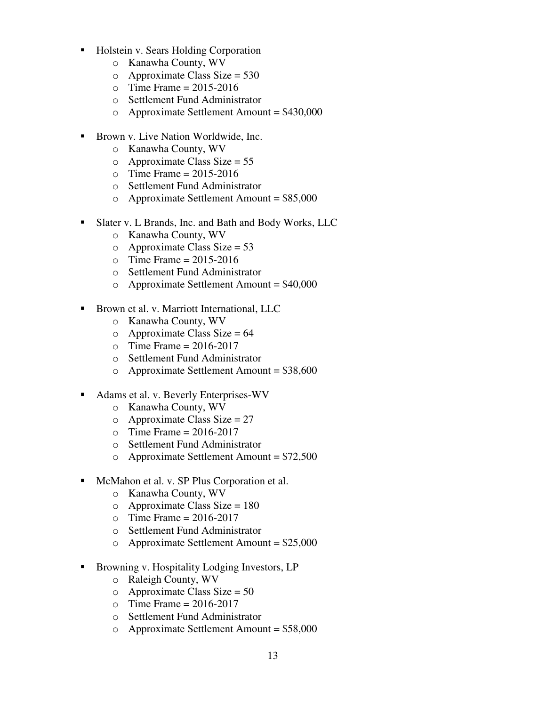- Holstein v. Sears Holding Corporation
	- o Kanawha County, WV
	- $\circ$  Approximate Class Size = 530
	- $\circ$  Time Frame = 2015-2016
	- o Settlement Fund Administrator
	- $\circ$  Approximate Settlement Amount = \$430,000
- Brown v. Live Nation Worldwide, Inc.
	- o Kanawha County, WV
	- $o$  Approximate Class Size = 55
	- $\Omega$  Time Frame = 2015-2016
	- o Settlement Fund Administrator
	- $\circ$  Approximate Settlement Amount = \$85,000
- Slater v. L Brands, Inc. and Bath and Body Works, LLC
	- o Kanawha County, WV
	- $\circ$  Approximate Class Size = 53
	- $\circ$  Time Frame = 2015-2016
	- o Settlement Fund Administrator
	- o Approximate Settlement Amount = \$40,000
- **Brown et al. v. Marriott International, LLC** 
	- o Kanawha County, WV
	- $\circ$  Approximate Class Size = 64
	- $\circ$  Time Frame = 2016-2017
	- o Settlement Fund Administrator
	- $\circ$  Approximate Settlement Amount = \$38,600
- Adams et al. v. Beverly Enterprises-WV
	- o Kanawha County, WV
	- $\circ$  Approximate Class Size = 27
	- $\circ$  Time Frame = 2016-2017
	- o Settlement Fund Administrator
	- $\circ$  Approximate Settlement Amount = \$72,500
- **McMahon et al. v. SP Plus Corporation et al.** 
	- o Kanawha County, WV
	- $\circ$  Approximate Class Size = 180
	- $\circ$  Time Frame = 2016-2017
	- o Settlement Fund Administrator
	- $\circ$  Approximate Settlement Amount = \$25,000
- Browning v. Hospitality Lodging Investors, LP
	- o Raleigh County, WV
	- $\circ$  Approximate Class Size = 50
	- $\circ$  Time Frame = 2016-2017
	- o Settlement Fund Administrator
	- $\circ$  Approximate Settlement Amount = \$58,000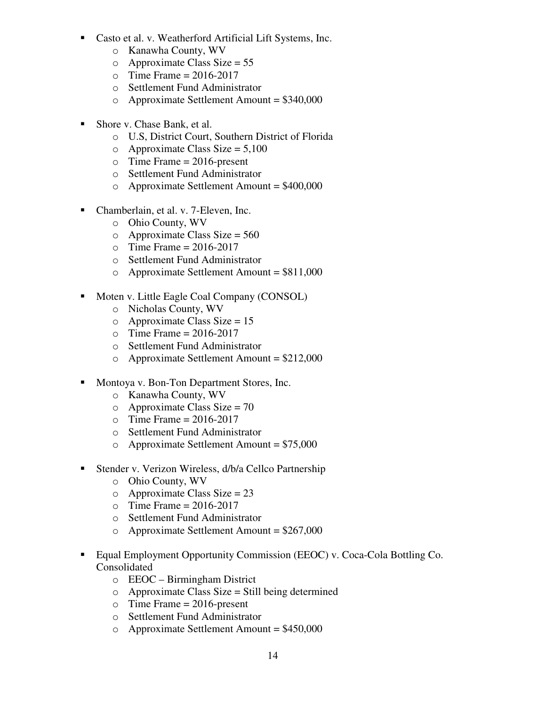- Casto et al. v. Weatherford Artificial Lift Systems, Inc.
	- o Kanawha County, WV
	- $\circ$  Approximate Class Size = 55
	- $\textcirc$  Time Frame = 2016-2017
	- o Settlement Fund Administrator
	- $\circ$  Approximate Settlement Amount = \$340,000
- Shore v. Chase Bank, et al.
	- o U.S, District Court, Southern District of Florida
	- $\circ$  Approximate Class Size = 5,100
	- $\circ$  Time Frame = 2016-present
	- o Settlement Fund Administrator
	- $\circ$  Approximate Settlement Amount = \$400,000
- Chamberlain, et al. v. 7-Eleven, Inc.
	- o Ohio County, WV
	- $\circ$  Approximate Class Size = 560
	- $\circ$  Time Frame = 2016-2017
	- o Settlement Fund Administrator
	- $\circ$  Approximate Settlement Amount = \$811,000
- Moten v. Little Eagle Coal Company (CONSOL)
	- o Nicholas County, WV
	- $\circ$  Approximate Class Size = 15
	- $\circ$  Time Frame = 2016-2017
	- o Settlement Fund Administrator
	- $\circ$  Approximate Settlement Amount = \$212,000
- Montoya v. Bon-Ton Department Stores, Inc.
	- o Kanawha County, WV
	- $\circ$  Approximate Class Size = 70
	- $\circ$  Time Frame = 2016-2017
	- o Settlement Fund Administrator
	- $\circ$  Approximate Settlement Amount = \$75,000
- Stender v. Verizon Wireless, d/b/a Cellco Partnership
	- o Ohio County, WV
	- $\circ$  Approximate Class Size = 23
	- $\circ$  Time Frame = 2016-2017
	- o Settlement Fund Administrator
	- $\circ$  Approximate Settlement Amount = \$267,000
- Equal Employment Opportunity Commission (EEOC) v. Coca-Cola Bottling Co. Consolidated
	- o EEOC Birmingham District
	- $\circ$  Approximate Class Size = Still being determined
	- $\circ$  Time Frame = 2016-present
	- o Settlement Fund Administrator
	- $\circ$  Approximate Settlement Amount = \$450,000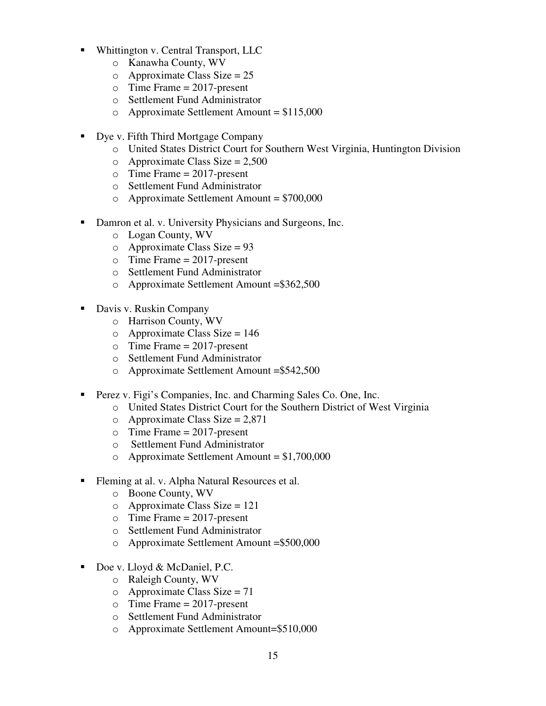- Whittington v. Central Transport, LLC
	- o Kanawha County, WV
	- $\circ$  Approximate Class Size = 25
	- $\circ$  Time Frame = 2017-present
	- o Settlement Fund Administrator
	- $\circ$  Approximate Settlement Amount = \$115,000
- Dye v. Fifth Third Mortgage Company
	- o United States District Court for Southern West Virginia, Huntington Division
	- $\circ$  Approximate Class Size = 2,500
	- $\circ$  Time Frame = 2017-present
	- o Settlement Fund Administrator
	- $\circ$  Approximate Settlement Amount = \$700,000
- Damron et al. v. University Physicians and Surgeons, Inc.
	- o Logan County, WV
	- $\circ$  Approximate Class Size = 93
	- $\circ$  Time Frame = 2017-present
	- o Settlement Fund Administrator
	- o Approximate Settlement Amount =\$362,500
- Davis v. Ruskin Company
	- o Harrison County, WV
	- $\circ$  Approximate Class Size = 146
	- $\circ$  Time Frame = 2017-present
	- o Settlement Fund Administrator
	- o Approximate Settlement Amount =\$542,500
- **Perez v. Figi's Companies, Inc. and Charming Sales Co. One, Inc.** 
	- o United States District Court for the Southern District of West Virginia
	- $\circ$  Approximate Class Size = 2,871
	- $\circ$  Time Frame = 2017-present
	- o Settlement Fund Administrator
	- $\circ$  Approximate Settlement Amount = \$1,700,000
- Fleming at al. v. Alpha Natural Resources et al.
	- o Boone County, WV
	- $\circ$  Approximate Class Size = 121
	- $\circ$  Time Frame = 2017-present
	- o Settlement Fund Administrator
	- o Approximate Settlement Amount =\$500,000
- Doe v. Lloyd & McDaniel, P.C.
	- o Raleigh County, WV
	- $o$  Approximate Class Size = 71
	- $\circ$  Time Frame = 2017-present
	- o Settlement Fund Administrator
	- o Approximate Settlement Amount=\$510,000